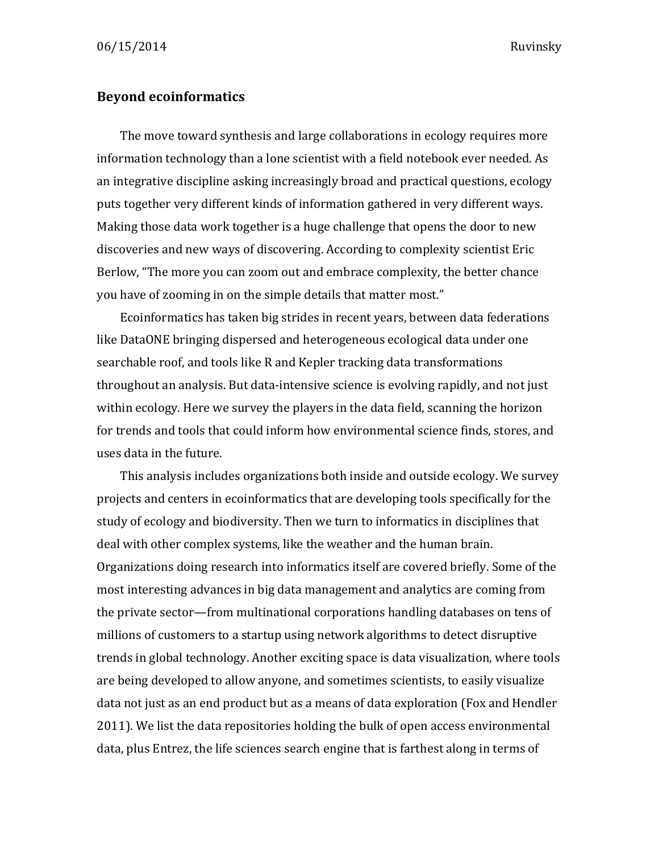## **Beyond ecoinformatics**

The move toward synthesis and large collaborations in ecology requires more information technology than a lone scientist with a field notebook ever needed. As an integrative discipline asking increasingly broad and practical questions, ecology puts together very different kinds of information gathered in very different ways. Making those data work together is a huge challenge that opens the door to new discoveries and new ways of discovering. According to complexity scientist Eric Berlow, "The more you can zoom out and embrace complexity, the better chance you have of zooming in on the simple details that matter most."

Ecoinformatics has taken big strides in recent years, between data federations like DataONE bringing dispersed and heterogeneous ecological data under one searchable roof, and tools like R and Kepler tracking data transformations throughout an analysis. But data-intensive science is evolving rapidly, and not just within ecology. Here we survey the players in the data field, scanning the horizon for trends and tools that could inform how environmental science finds, stores, and uses data in the future.

This analysis includes organizations both inside and outside ecology. We survey projects and centers in ecoinformatics that are developing tools specifically for the study of ecology and biodiversity. Then we turn to informatics in disciplines that deal with other complex systems, like the weather and the human brain. Organizations doing research into informatics itself are covered briefly. Some of the most interesting advances in big data management and analytics are coming from the private sector—from multinational corporations handling databases on tens of millions of customers to a startup using network algorithms to detect disruptive trends in global technology. Another exciting space is data visualization, where tools are being developed to allow anyone, and sometimes scientists, to easily visualize data not just as an end product but as a means of data exploration (Fox and Hendler 2011). We list the data repositories holding the bulk of open access environmental data, plus Entrez, the life sciences search engine that is farthest along in terms of